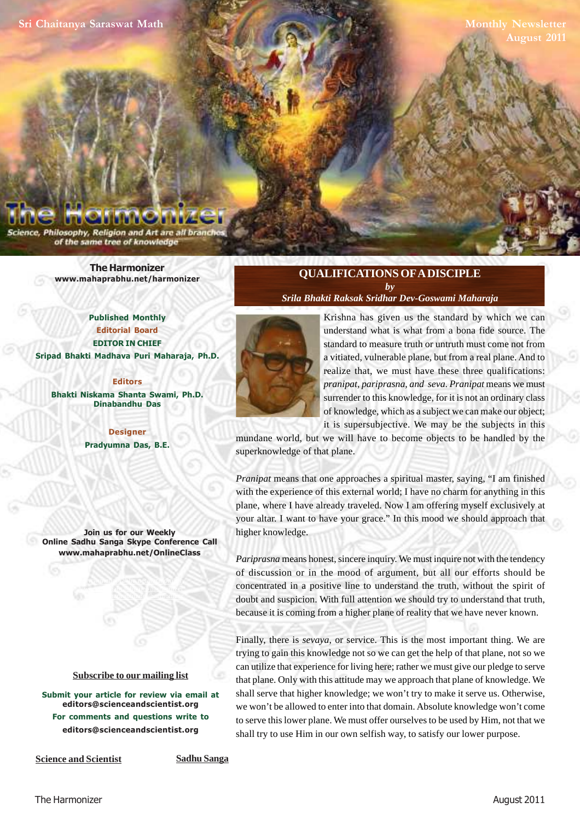Philosophy, Religion and Art are all bran of the same tree of knowledge

> **The Harmonizer www.mahaprabhu.net/harmonizer**

**Published Monthly Editorial Board EDITOR IN CHIEF Sripad Bhakti Madhava Puri Maharaja, Ph.D.**

**Editors Bhakti Niskama Shanta Swami, Ph.D. Dinabandhu Das**

> **Designer Pradyumna Das, B.E.**

**Join us for our Weekly Online Sadhu Sanga Skype Conference Call www.mahaprabhu.net/OnlineClass**

> www.mahaprabhu.net/harmonizer www.mahaprabhu.net/harmonizer www.mahaprabhu.net/harmonizer

#### **<u>Subscribe to our mailing list</u>**

**Submit your article for review via email at editors@scienceandscientist.org For comments and questions write to editors@scienceandscientist.org**

#### **QUALIFICATIONS OF A DISCIPLE** *by*

*Srila Bhakti Raksak Sridhar Dev-Goswami Maharaja*



 . realize that, we must have these three qualifications: Krishna has given us the standard by which we can understand what is what from a bona fide source. The standard to measure truth or untruth must come not from a vitiated, vulnerable plane, but from a real plane. And to *pranipat, pariprasna, and seva*. *Pranipat* means we must surrender to this knowledge, for it is not an ordinary class of knowledge, which as a subject we can make our object; it is supersubjective. We may be the subjects in this

mundane world, but we will have to become objects to be handled by the superknowledge of that plane.

*Pranipat* means that one approaches a spiritual master, saying, "I am finished with the experience of this external world; I have no charm for anything in this plane, where I have already traveled. Now I am offering myself exclusively at your altar. I want to have your grace." In this mood we should approach that higher knowledge.

*Pariprasna* means honest, sincere inquiry. We must inquire not with the tendency of discussion or in the mood of argument, but all our efforts should be concentrated in a positive line to understand the truth, without the spirit of doubt and suspicion. With full attention we should try to understand that truth, because it is coming from a higher plane of reality that we have never known.

Finally, there is *sevaya*, or service. This is the most important thing. We are trying to gain this knowledge not so we can get the help of that plane, not so we can utilize that experience for living here; rather we must give our pledge to serve that plane. Only with this attitude may we approach that plane of knowledge. We shall serve that higher knowledge; we won't try to make it serve us. Otherwise, we won't be allowed to enter into that domain. Absolute knowledge won't come to serve this lower plane. We must offer ourselves to be used by Him, not that we shall try to use Him in our own selfish way, to satisfy our lower purpose.

**Science and Scientist Sadhu Sanga**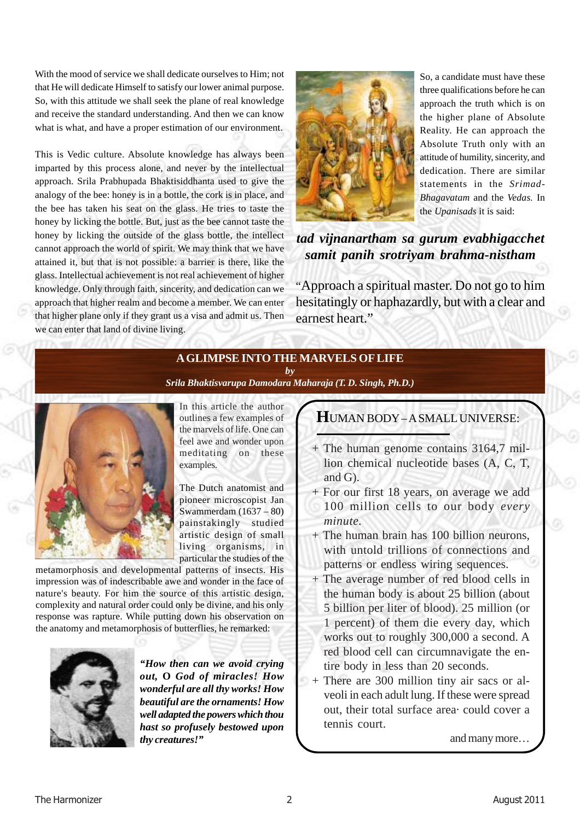With the mood of service we shall dedicate ourselves to Him; not that He will dedicate Himself to satisfy our lower animal purpose. So, with this attitude we shall seek the plane of real knowledge and receive the standard understanding. And then we can know what is what, and have a proper estimation of our environment.

This is Vedic culture. Absolute knowledge has always been imparted by this process alone, and never by the intellectual approach. Srila Prabhupada Bhaktisiddhanta used to give the analogy of the bee: honey is in a bottle, the cork is in place, and the bee has taken his seat on the glass. He tries to taste the honey by licking the bottle. But, just as the bee cannot taste the honey by licking the outside of the glass bottle, the intellect cannot approach the world of spirit. We may think that we have attained it, but that is not possible: a barrier is there, like the glass. Intellectual achievement is not real achievement of higher knowledge. Only through faith, sincerity, and dedication can we approach that higher realm and become a member. We can enter that higher plane only if they grant us a visa and admit us. Then we can enter that land of divine living.



So, a candidate must have these three qualifications before he can approach the truth which is on the higher plane of Absolute Reality. He can approach the Absolute Truth only with an attitude of humility, sincerity, and dedication. There are similar statements in the *Srimad-Bhagavatam* and the *Vedas.* In the *Upanisads* it is said:

*tad vijnanartham sa gurum evabhigacchet samit panih srotriyam brahma-nistham*

"Approach a spiritual master. Do not go to him hesitatingly or haphazardly, but with a clear and earnest heart."

# **A GLIMPSE INTO THE MARVELS OF LIFE**

*by*



*Srila Bhaktisvarupa Damodara Maharaja (T. D. Singh, Ph.D.)*

In this article the author outlines a few examples of the marvels of life. One can feel awe and wonder upon meditating on these examples.

The Dutch anatomist and pioneer microscopist Jan Swammerdam (1637 – 80) painstakingly studied artistic design of small living organisms, in particular the studies of the

metamorphosis and developmental patterns of insects. His impression was of indescribable awe and wonder in the face of nature's beauty. For him the source of this artistic design, complexity and natural order could only be divine, and his only response was rapture. While putting down his observation on the anatomy and metamorphosis of butterflies, he remarked:



*"How then can we avoid crying out,* **O** *God of miracles! How wonderful are all thy works! How beautiful are the ornaments! How well adapted the powers which thou hast so profusely bestowed upon thy creatures!"*

# **H**UMAN BODY – A SMALL UNIVERSE:

- + The human genome contains 3164,7 million chemical nucleotide bases (A, C, T, and G).
- + For our first 18 years, on average we add 100 million cells to our body *every minute.*
- + The human brain has 100 billion neurons, with untold trillions of connections and patterns or endless wiring sequences.
- + The average number of red blood cells in the human body is about 25 billion (about 5 billion per liter of blood). 25 million (or 1 percent) of them die every day, which works out to roughly 300,000 a second. A red blood cell can circumnavigate the entire body in less than 20 seconds.
- + There are 300 million tiny air sacs or alveoli in each adult lung. If these were spread out, their total surface area· could cover a tennis court.

and many more…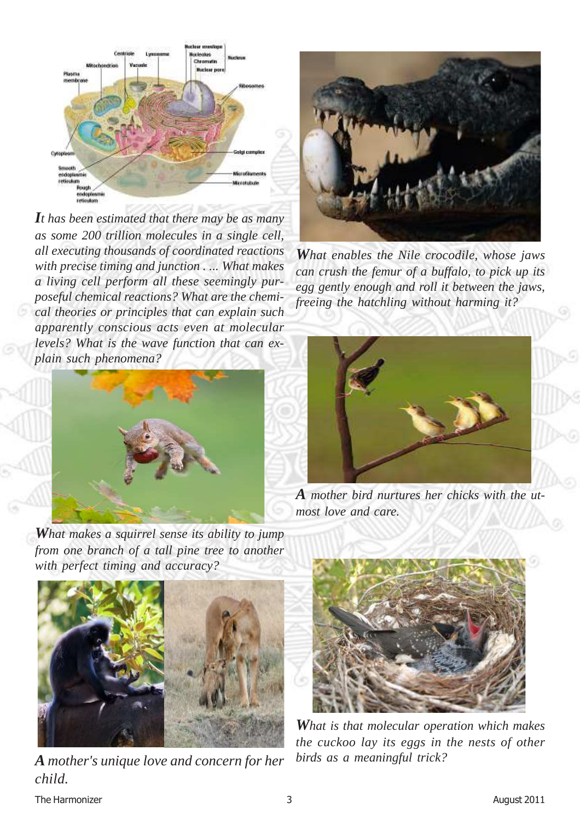

*It has been estimated that there may be as many as some 200 trillion molecules in a single cell, all executing thousands of coordinated reactions with precise timing and junction . ... What makes a living cell perform all these seemingly purposeful chemical reactions? What are the chemical theories or principles that can explain such apparently conscious acts even at molecular levels? What is the wave function that can explain such phenomena?*



*What makes a squirrel sense its ability to jump from one branch of a tall pine tree to another with perfect timing and accuracy?*



*A mother's unique love and concern for her child.*



*What enables the Nile crocodile, whose jaws can crush the femur of a buffalo, to pick up its egg gently enough and roll it between the jaws, freeing the hatchling without harming it?*



*A mother bird nurtures her chicks with the utmost love and care.*



*What is that molecular operation which makes the cuckoo lay its eggs in the nests of other birds as a meaningful trick?*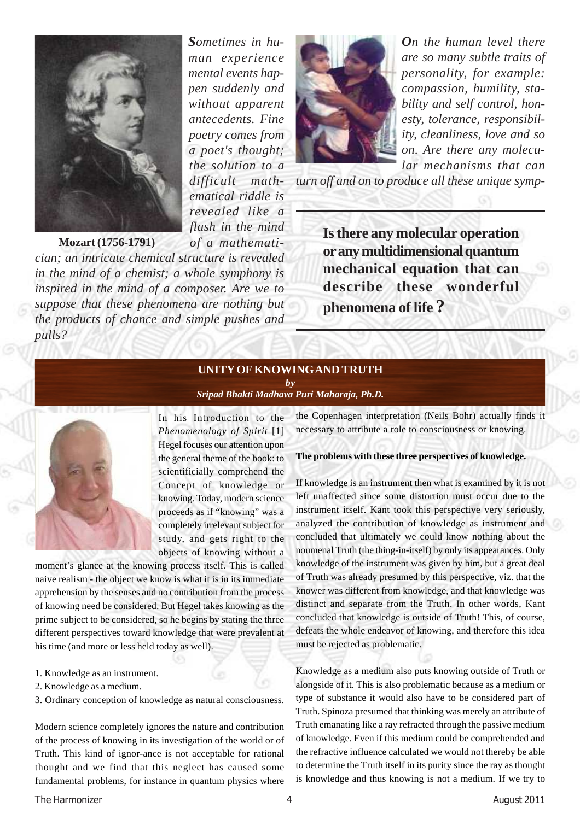

*Sometimes in human experience mental events happen suddenly and without apparent antecedents. Fine poetry comes from a poet's thought; the solution to a difficult mathematical riddle is revealed like a flash in the mind of a mathemati-*

*On the human level there are so many subtle traits of personality, for example: compassion, humility, stability and self control, honesty, tolerance, responsibility, cleanliness, love and so on. Are there any molecular mechanisms that can*

*turn off and on to produce all these unique symp-*

**Is there any molecular operation or any multidimensional quantum mechanical equation that can describe these wonderful phenomena of life ?**

### **UNITY OF KNOWINGAND TRUTH**

*by Sripad Bhakti Madhava Puri Maharaja, Ph.D.*



*pulls?*

In his Introduction to the *Phenomenology of Spirit* [1] Hegel focuses our attention upon the general theme of the book: to scientificially comprehend the Concept of knowledge or knowing. Today, modern science proceeds as if "knowing" was a completely irrelevant subject for study, and gets right to the objects of knowing without a

moment's glance at the knowing process itself. This is called naive realism - the object we know is what it is in its immediate apprehension by the senses and no contribution from the process of knowing need be considered. But Hegel takes knowing as the prime subject to be considered, so he begins by stating the three different perspectives toward knowledge that were prevalent at his time (and more or less held today as well).

*cian; an intricate chemical structure is revealed in the mind of a chemist; a whole symphony is inspired in the mind of a composer. Are we to suppose that these phenomena are nothing but the products of chance and simple pushes and*

- 1. Knowledge as an instrument.
- 2. Knowledge as a medium.
- 3. Ordinary conception of knowledge as natural consciousness.

Modern science completely ignores the nature and contribution of the process of knowing in its investigation of the world or of Truth. This kind of ignor-ance is not acceptable for rational thought and we find that this neglect has caused some fundamental problems, for instance in quantum physics where the Copenhagen interpretation (Neils Bohr) actually finds it necessary to attribute a role to consciousness or knowing.

#### **The problems with these three perspectives of knowledge.**

If knowledge is an instrument then what is examined by it is not left unaffected since some distortion must occur due to the instrument itself. Kant took this perspective very seriously, analyzed the contribution of knowledge as instrument and concluded that ultimately we could know nothing about the noumenal Truth (the thing-in-itself) by only its appearances. Only knowledge of the instrument was given by him, but a great deal of Truth was already presumed by this perspective, viz. that the knower was different from knowledge, and that knowledge was distinct and separate from the Truth. In other words, Kant concluded that knowledge is outside of Truth! This, of course, defeats the whole endeavor of knowing, and therefore this idea must be rejected as problematic.

Knowledge as a medium also puts knowing outside of Truth or alongside of it. This is also problematic because as a medium or type of substance it would also have to be considered part of Truth. Spinoza presumed that thinking was merely an attribute of Truth emanating like a ray refracted through the passive medium of knowledge. Even if this medium could be comprehended and the refractive influence calculated we would not thereby be able to determine the Truth itself in its purity since the ray as thought is knowledge and thus knowing is not a medium. If we try to